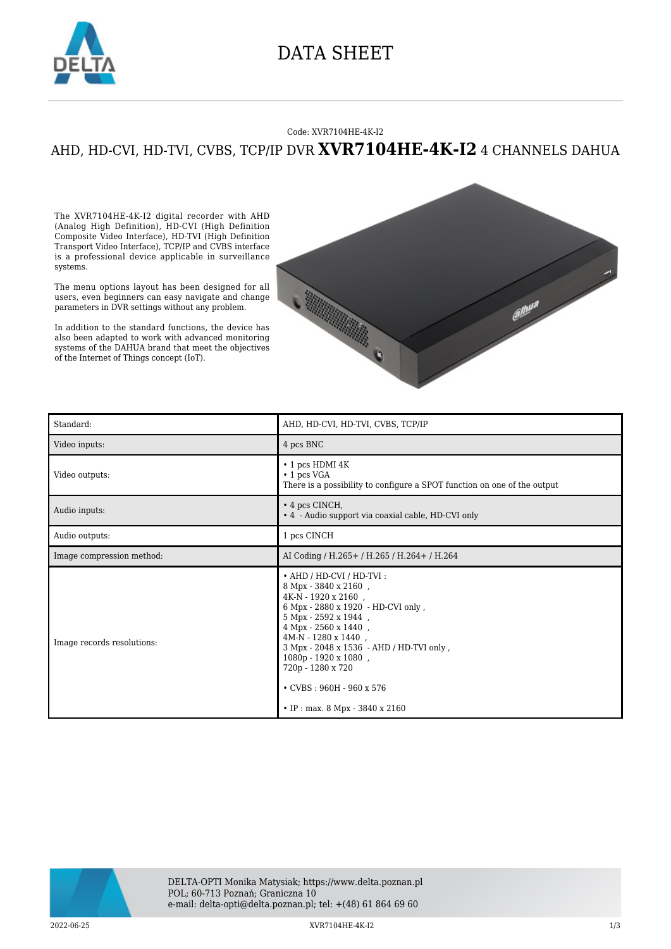

### DATA SHEET

#### Code: XVR7104HE-4K-I2

### AHD, HD-CVI, HD-TVI, CVBS, TCP/IP DVR **XVR7104HE-4K-I2** 4 CHANNELS DAHUA

The XVR7104HE-4K-I2 digital recorder with AHD (Analog High Definition), HD-CVI (High Definition Composite Video Interface), HD-TVI (High Definition Transport Video Interface), TCP/IP and CVBS interface is a professional device applicable in surveillance systems.

The menu options layout has been designed for all users, even beginners can easy navigate and change parameters in DVR settings without any problem.

In addition to the standard functions, the device has also been adapted to work with advanced monitoring systems of the DAHUA brand that meet the objectives of the Internet of Things concept (IoT).



| Standard:                  | AHD, HD-CVI, HD-TVI, CVBS, TCP/IP                                                                                                                                                                                                                                                                                                                            |
|----------------------------|--------------------------------------------------------------------------------------------------------------------------------------------------------------------------------------------------------------------------------------------------------------------------------------------------------------------------------------------------------------|
| Video inputs:              | 4 pcs BNC                                                                                                                                                                                                                                                                                                                                                    |
| Video outputs:             | $\cdot$ 1 pcs HDMI 4K<br>$\cdot$ 1 pcs VGA<br>There is a possibility to configure a SPOT function on one of the output                                                                                                                                                                                                                                       |
| Audio inputs:              | $\cdot$ 4 pcs CINCH,<br>• 4 - Audio support via coaxial cable, HD-CVI only                                                                                                                                                                                                                                                                                   |
| Audio outputs:             | 1 pcs CINCH                                                                                                                                                                                                                                                                                                                                                  |
| Image compression method:  | AI Coding / H.265 + / H.265 / H.264 + / H.264                                                                                                                                                                                                                                                                                                                |
| Image records resolutions: | • AHD / HD-CVI / HD-TVI:<br>8 Mpx - 3840 x 2160,<br>$4K-N - 1920 \times 2160$ ,<br>6 Mpx - 2880 x 1920 - HD-CVI only,<br>5 Mpx - 2592 x 1944,<br>4 Mpx - 2560 x 1440,<br>4M-N - 1280 x 1440,<br>3 Mpx - 2048 x 1536 - AHD / HD-TVI only,<br>1080p - 1920 x 1080,<br>720p - 1280 x 720<br>$\cdot$ CVBS: 960H - 960 x 576<br>• IP : max. $8$ Mpx - 3840 x 2160 |



2022-06-25 XVR7104HE-4K-I2 1/3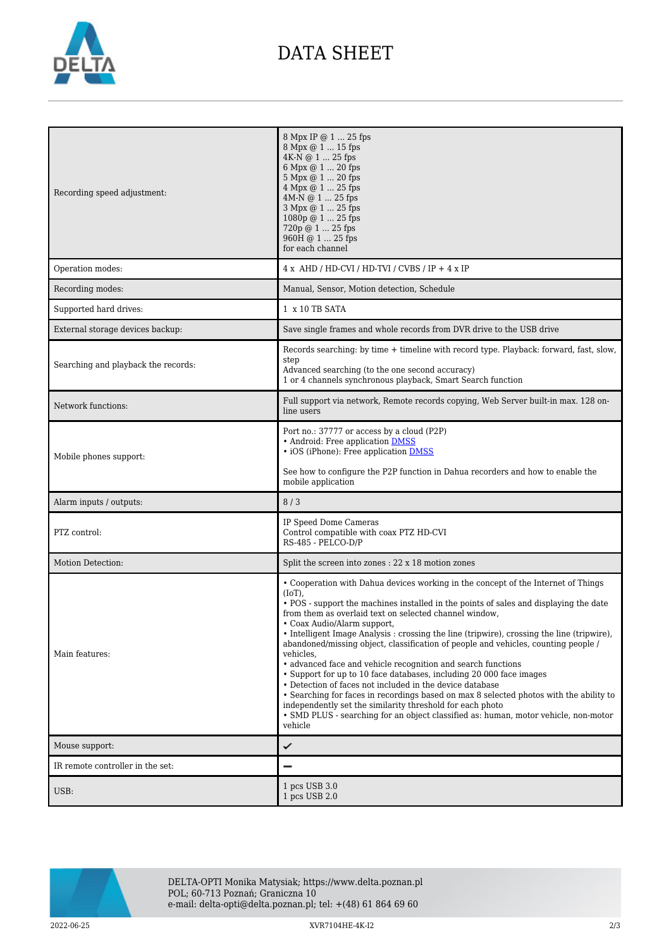

# DATA SHEET

| Recording speed adjustment:         | 8 Mpx IP @ 1  25 fps<br>8 Mpx @ 1  15 fps<br>4K-N @ 1  25 fps<br>6 Mpx @ 1  20 fps<br>5 Mpx @ 1  20 fps<br>4 Mpx @ 1  25 fps<br>4M-N @ 1  25 fps<br>3 Mpx @ 1  25 fps<br>1080p @ 1  25 fps<br>720p @ 1  25 fps<br>960H @ 1  25 fps<br>for each channel                                                                                                                                                                                                                                                                                                                                                                                                                                                                                                                                                                                                                                                                                        |
|-------------------------------------|-----------------------------------------------------------------------------------------------------------------------------------------------------------------------------------------------------------------------------------------------------------------------------------------------------------------------------------------------------------------------------------------------------------------------------------------------------------------------------------------------------------------------------------------------------------------------------------------------------------------------------------------------------------------------------------------------------------------------------------------------------------------------------------------------------------------------------------------------------------------------------------------------------------------------------------------------|
| Operation modes:                    | $4 x$ AHD / HD-CVI / HD-TVI / CVBS / IP + $4 x$ IP                                                                                                                                                                                                                                                                                                                                                                                                                                                                                                                                                                                                                                                                                                                                                                                                                                                                                            |
| Recording modes:                    | Manual, Sensor, Motion detection, Schedule                                                                                                                                                                                                                                                                                                                                                                                                                                                                                                                                                                                                                                                                                                                                                                                                                                                                                                    |
| Supported hard drives:              | 1 x 10 TB SATA                                                                                                                                                                                                                                                                                                                                                                                                                                                                                                                                                                                                                                                                                                                                                                                                                                                                                                                                |
| External storage devices backup:    | Save single frames and whole records from DVR drive to the USB drive                                                                                                                                                                                                                                                                                                                                                                                                                                                                                                                                                                                                                                                                                                                                                                                                                                                                          |
| Searching and playback the records: | Records searching: by time + timeline with record type. Playback: forward, fast, slow,<br>step<br>Advanced searching (to the one second accuracy)<br>1 or 4 channels synchronous playback, Smart Search function                                                                                                                                                                                                                                                                                                                                                                                                                                                                                                                                                                                                                                                                                                                              |
| Network functions:                  | Full support via network, Remote records copying, Web Server built-in max. 128 on-<br>line users                                                                                                                                                                                                                                                                                                                                                                                                                                                                                                                                                                                                                                                                                                                                                                                                                                              |
| Mobile phones support:              | Port no.: 37777 or access by a cloud (P2P)<br>• Android: Free application DMSS<br>• iOS (iPhone): Free application <b>DMSS</b><br>See how to configure the P2P function in Dahua recorders and how to enable the                                                                                                                                                                                                                                                                                                                                                                                                                                                                                                                                                                                                                                                                                                                              |
|                                     | mobile application                                                                                                                                                                                                                                                                                                                                                                                                                                                                                                                                                                                                                                                                                                                                                                                                                                                                                                                            |
| Alarm inputs / outputs:             | 8/3                                                                                                                                                                                                                                                                                                                                                                                                                                                                                                                                                                                                                                                                                                                                                                                                                                                                                                                                           |
| PTZ control:                        | IP Speed Dome Cameras<br>Control compatible with coax PTZ HD-CVI<br>RS-485 - PELCO-D/P                                                                                                                                                                                                                                                                                                                                                                                                                                                                                                                                                                                                                                                                                                                                                                                                                                                        |
| Motion Detection:                   | Split the screen into zones : 22 x 18 motion zones                                                                                                                                                                                                                                                                                                                                                                                                                                                                                                                                                                                                                                                                                                                                                                                                                                                                                            |
| Main features:                      | • Cooperation with Dahua devices working in the concept of the Internet of Things<br>$(IoT)$ ,<br>• POS - support the machines installed in the points of sales and displaying the date<br>from them as overlaid text on selected channel window,<br>• Coax Audio/Alarm support.<br>• Intelligent Image Analysis : crossing the line (tripwire), crossing the line (tripwire),<br>abandoned/missing object, classification of people and vehicles, counting people /<br>vehicles,<br>• advanced face and vehicle recognition and search functions<br>• Support for up to 10 face databases, including 20 000 face images<br>• Detection of faces not included in the device database<br>• Searching for faces in recordings based on max 8 selected photos with the ability to<br>independently set the similarity threshold for each photo<br>• SMD PLUS - searching for an object classified as: human, motor vehicle, non-motor<br>vehicle |
| Mouse support:                      | ✓                                                                                                                                                                                                                                                                                                                                                                                                                                                                                                                                                                                                                                                                                                                                                                                                                                                                                                                                             |
| IR remote controller in the set:    |                                                                                                                                                                                                                                                                                                                                                                                                                                                                                                                                                                                                                                                                                                                                                                                                                                                                                                                                               |